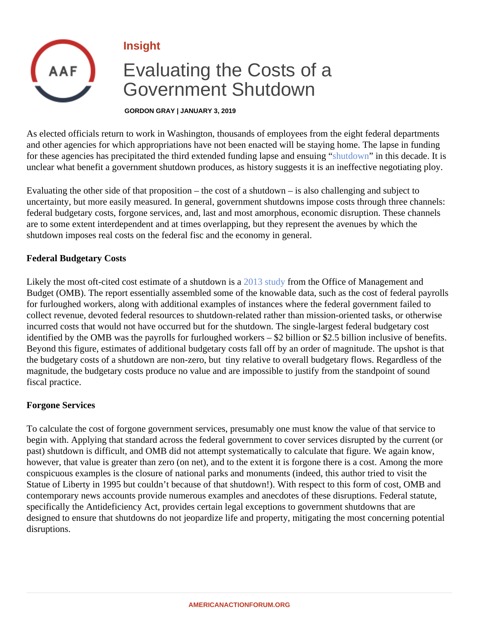Insight

# Evaluating the Costs of a Government Shutdown

GORDON GRAY | JANUARY 3, 2019

As elected officials return to work in Washington, thousands of employees from the eight federal departments and other agencies for which appropriations have not been enacted will be staying home. The lapse in fundin for these agencies has precipitated the third extended funding lapse and extention in this decade. It is unclear what benefit a government shutdown produces, as history suggests it is an ineffective negotiating plo

Evaluating the other side of that proposition – the cost of a shutdown – is also challenging and subject to uncertainty, but more easily measured. In general, government shutdowns impose costs through three chann federal budgetary costs, forgone services, and, last and most amorphous, economic disruption. These chann are to some extent interdependent and at times overlapping, but they represent the avenues by which the shutdown imposes real costs on the federal fisc and the economy in general.

## Federal Budgetary Costs

Likely the most oft-cited cost estimate of a shutdown **2018** study from the Office of Management and Budget (OMB). The report essentially assembled some of the knowable data, such as the cost of federal payrolls for furloughed workers, along with additional examples of instances where the federal government failed to collect revenue, devoted federal resources to shutdown-related rather than mission-oriented tasks, or otherwi incurred costs that would not have occurred but for the shutdown. The single-largest federal budgetary cost identified by the OMB was the payrolls for furloughed workers – \$2 billion or \$2.5 billion inclusive of benefits. Beyond this figure, estimates of additional budgetary costs fall off by an order of magnitude. The upshot is tha the budgetary costs of a shutdown are non-zero, but tiny relative to overall budgetary flows. Regardless of th magnitude, the budgetary costs produce no value and are impossible to justify from the standpoint of sound fiscal practice.

## Forgone Services

To calculate the cost of forgone government services, presumably one must know the value of that service to begin with. Applying that standard across the federal government to cover services disrupted by the current (or past) shutdown is difficult, and OMB did not attempt systematically to calculate that figure. We again know, however, that value is greater than zero (on net), and to the extent it is forgone there is a cost. Among the mo conspicuous examples is the closure of national parks and monuments (indeed, this author tried to visit the Statue of Liberty in 1995 but couldn't because of that shutdown!). With respect to this form of cost, OMB and contemporary news accounts provide numerous examples and anecdotes of these disruptions. Federal statut specifically the Antideficiency Act, provides certain legal exceptions to government shutdowns that are designed to ensure that shutdowns do not jeopardize life and property, mitigating the most concerning potent disruptions.